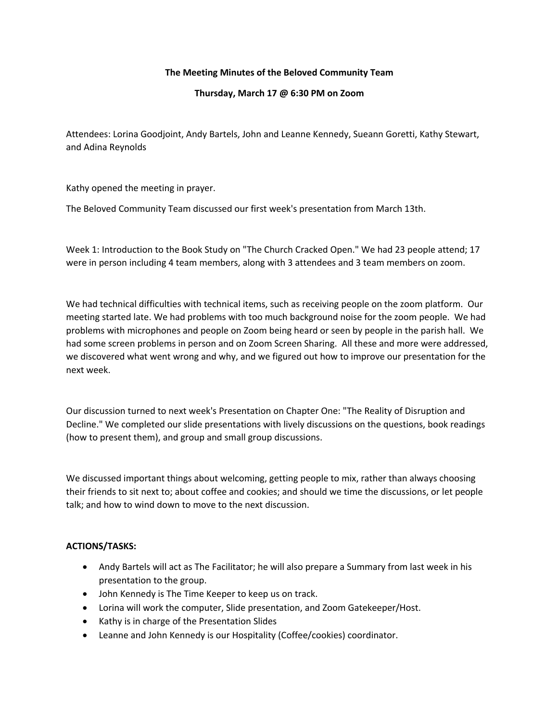## **The Meeting Minutes of the Beloved Community Team**

## **Thursday, March 17 @ 6:30 PM on Zoom**

Attendees: Lorina Goodjoint, Andy Bartels, John and Leanne Kennedy, Sueann Goretti, Kathy Stewart, and Adina Reynolds

Kathy opened the meeting in prayer.

The Beloved Community Team discussed our first week's presentation from March 13th.

Week 1: Introduction to the Book Study on "The Church Cracked Open." We had 23 people attend; 17 were in person including 4 team members, along with 3 attendees and 3 team members on zoom.

We had technical difficulties with technical items, such as receiving people on the zoom platform. Our meeting started late. We had problems with too much background noise for the zoom people. We had problems with microphones and people on Zoom being heard or seen by people in the parish hall. We had some screen problems in person and on Zoom Screen Sharing. All these and more were addressed, we discovered what went wrong and why, and we figured out how to improve our presentation for the next week.

Our discussion turned to next week's Presentation on Chapter One: "The Reality of Disruption and Decline." We completed our slide presentations with lively discussions on the questions, book readings (how to present them), and group and small group discussions.

We discussed important things about welcoming, getting people to mix, rather than always choosing their friends to sit next to; about coffee and cookies; and should we time the discussions, or let people talk; and how to wind down to move to the next discussion.

## **ACTIONS/TASKS:**

- Andy Bartels will act as The Facilitator; he will also prepare a Summary from last week in his presentation to the group.
- John Kennedy is The Time Keeper to keep us on track.
- Lorina will work the computer, Slide presentation, and Zoom Gatekeeper/Host.
- Kathy is in charge of the Presentation Slides
- Leanne and John Kennedy is our Hospitality (Coffee/cookies) coordinator.